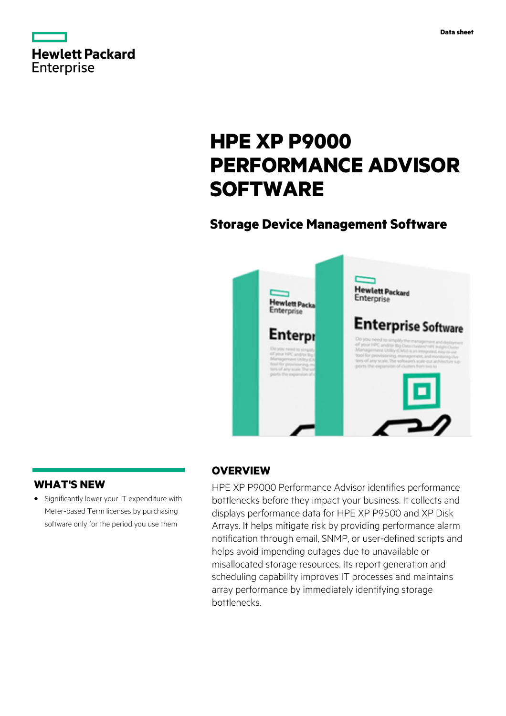

# **HPE XP P9000 PERFORMANCE ADVISOR SOFTWARE**

# **Storage Device Management Software**



# **WHAT'S NEW**

**·** Significantly lower your IT expenditure with Meter-based Term licenses by purchasing software only for the period you use them

## **OVERVIEW**

HPE XP P9000 Performance Advisor identifies performance bottlenecks before they impact your business. It collects and displays performance data for HPE XP P9500 and XP Disk Arrays. It helps mitigate risk by providing performance alarm notification through email, SNMP, or user-defined scripts and helps avoid impending outages due to unavailable or misallocated storage resources. Its report generation and scheduling capability improves IT processes and maintains array performance by immediately identifying storage bottlenecks.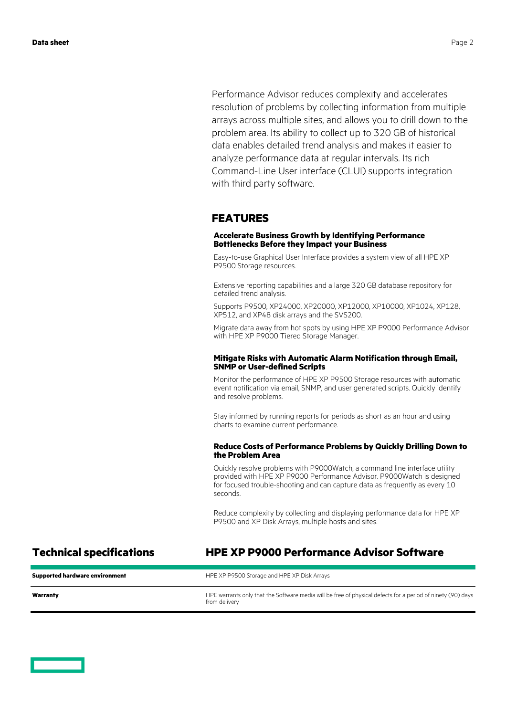Performance Advisor reduces complexity and accelerates resolution of problems by collecting information from multiple arrays across multiple sites, and allows you to drill down to the problem area. Its ability to collect up to 320 GB of historical data enables detailed trend analysis and makes it easier to analyze performance data at regular intervals. Its rich Command-Line User interface (CLUI) supports integration with third party software.

# **FEATURES**

#### **Accelerate Business Growth by Identifying Performance Bottlenecks Before they Impact your Business**

Easy-to-use Graphical User Interface provides a system view of all HPE XP P9500 Storage resources.

Extensive reporting capabilities and a large 320 GB database repository for detailed trend analysis.

Supports P9500, XP24000, XP20000, XP12000, XP10000, XP1024, XP128, XP512, and XP48 disk arrays and the SVS200.

Migrate data away from hot spots by using HPE XP P9000 Performance Advisor with HPE XP P9000 Tiered Storage Manager.

#### **Mitigate Risks with Automatic Alarm Notification through Email, SNMP or User-defined Scripts**

Monitor the performance of HPE XP P9500 Storage resources with automatic event notification via email, SNMP, and user generated scripts. Quickly identify and resolve problems.

Stay informed by running reports for periods as short as an hour and using charts to examine current performance.

#### **Reduce Costs of Performance Problems by Quickly Drilling Down to the Problem Area**

Quickly resolve problems with P9000Watch, a command line interface utility provided with HPE XP P9000 Performance Advisor. P9000Watch is designed for focused trouble-shooting and can capture data as frequently as every 10 seconds.

Reduce complexity by collecting and displaying performance data for HPE XP P9500 and XP Disk Arrays, multiple hosts and sites.

# **Technical specifications HPE XP P9000 Performance Advisor Software**

| <b>Supported hardware environment</b> | HPE XP P9500 Storage and HPE XP Disk Arrays                                                                                  |
|---------------------------------------|------------------------------------------------------------------------------------------------------------------------------|
| Warranty                              | HPE warrants only that the Software media will be free of physical defects for a period of ninety (90) days<br>from delivery |